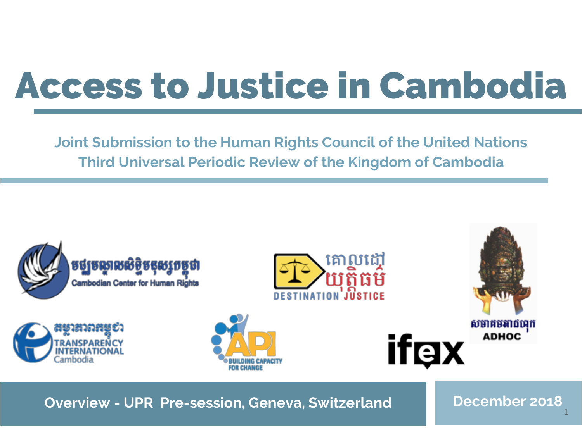# Access to Justice in Cambodia

**Joint Submission to the Human Rights Council of the United Nations Third Universal Periodic Review of the Kingdom of Cambodia**



**Overview - UPR Pre-session, Geneva, Switzerland Bullet Becember 2018** 

1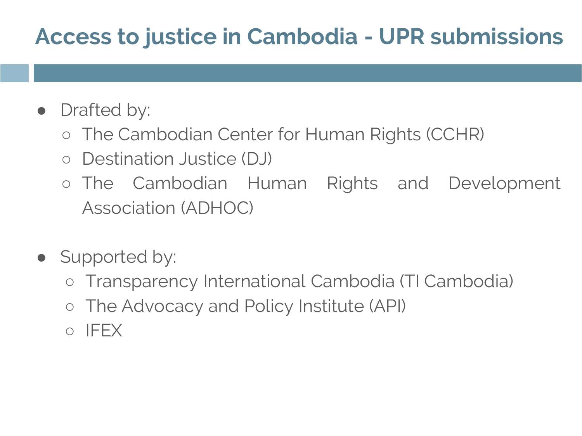# **Access to justice in Cambodia - UPR submissions**

- Drafted by:
	- The Cambodian Center for Human Rights (CCHR)
	- Destination Justice (DJ)
	- The Cambodian Human Rights and Development Association (ADHOC)
- Supported by:
	- Transparency International Cambodia (TI Cambodia)
	- The Advocacy and Policy Institute (API)
	- IFEX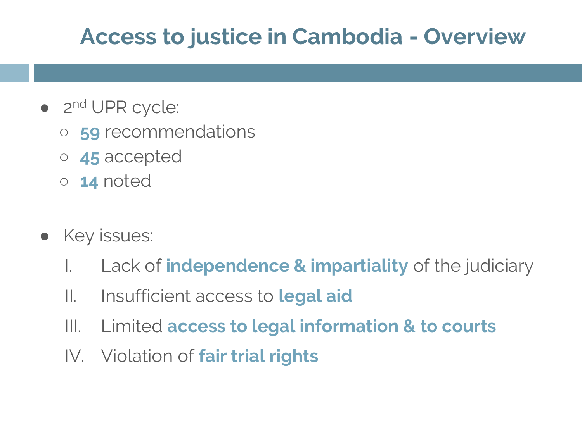## **Access to justice in Cambodia - Overview**

- 2<sup>nd</sup> UPR cycle:
	- **59** recommendations
	- **45** accepted
	- **14** noted
- Key issues:
	- I. Lack of **independence & impartiality** of the judiciary
	- II. Insufficient access to **legal aid**
	- III. Limited **access to legal information & to courts**
	- IV. Violation of **fair trial rights**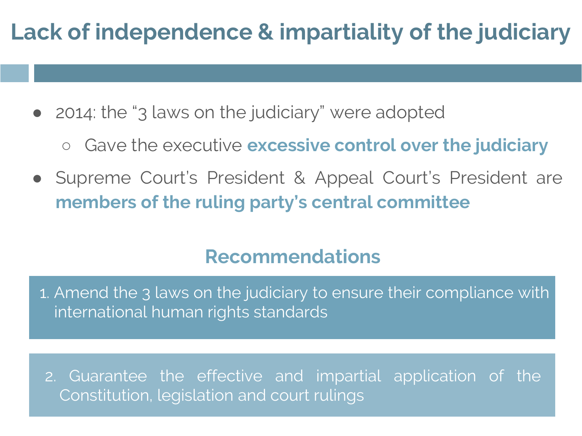# **Lack of independence & impartiality of the judiciary**

- 2014: the "3 laws on the judiciary" were adopted
	- Gave the executive **excessive control over the judiciary**
- Supreme Court's President & Appeal Court's President are **members of the ruling party's central committee**

#### **Recommendations**

1. Amend the 3 laws on the judiciary to ensure their compliance with international human rights standards

2. Guarantee the effective and impartial application of the Constitution, legislation and court rulings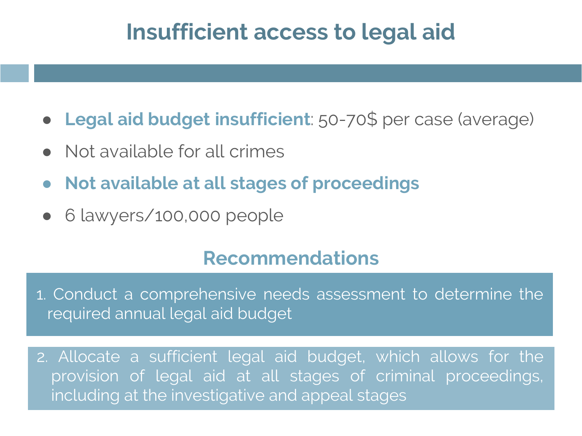### **Insufficient access to legal aid**

- **Legal aid budget insufficient**: 50-70\$ per case (average)
- Not available for all crimes
- **Not available at all stages of proceedings**
- 6 lawyers/100,000 people

#### **Recommendations**

1. Conduct a comprehensive needs assessment to determine the required annual legal aid budget

2. Allocate a sufficient legal aid budget, which allows for the provision of legal aid at all stages of criminal proceedings, including at the investigative and appeal stages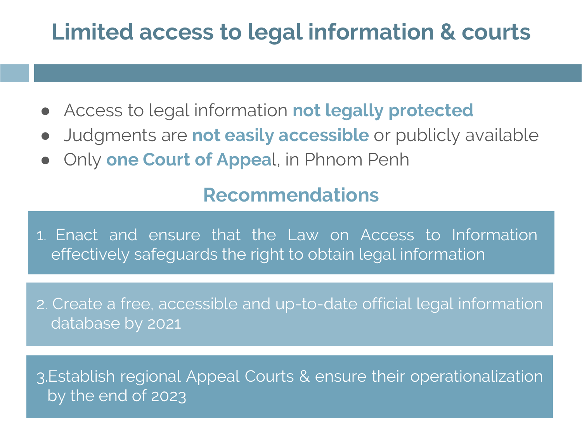# **Limited access to legal information & courts**

- Access to legal information **not legally protected**
- Judgments are **not easily accessible** or publicly available
- Only **one Court of Appea**l, in Phnom Penh

#### **Recommendations**

**Recommendations** 1. Enact and ensure that the Law on Access to Information effectively safeguards the right to obtain legal information

2. Create a free, accessible and up-to-date official legal information database by 2021

3.Establish regional Appeal Courts & ensure their operationalization by the end of 2023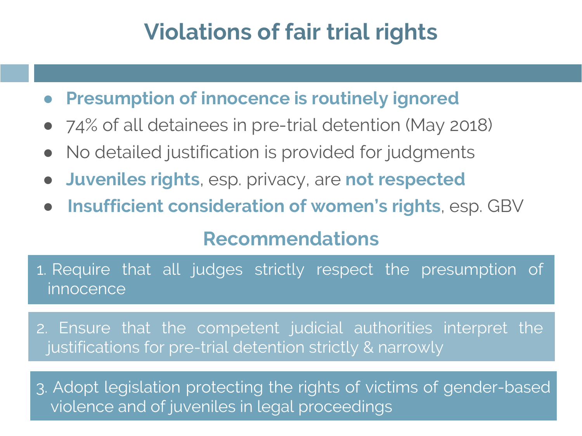# **Violations of fair trial rights**

● **Presumption of innocence is routinely ignored**

- 74% of all detainees in pre-trial detention (May 2018)
- No detailed justification is provided for judgments
- **Juveniles rights**, esp. privacy, are **not respected**
- **Insufficient consideration of women's rights**, esp. GBV

#### **Recommendations**

1. Require that all judges strictly respect the presumption of innocence

2. Ensure that the competent judicial authorities interpret the justifications for pre-trial detention strictly & narrowly

3. Adopt legislation protecting the rights of victims of gender-based violence and of juveniles in legal proceedings